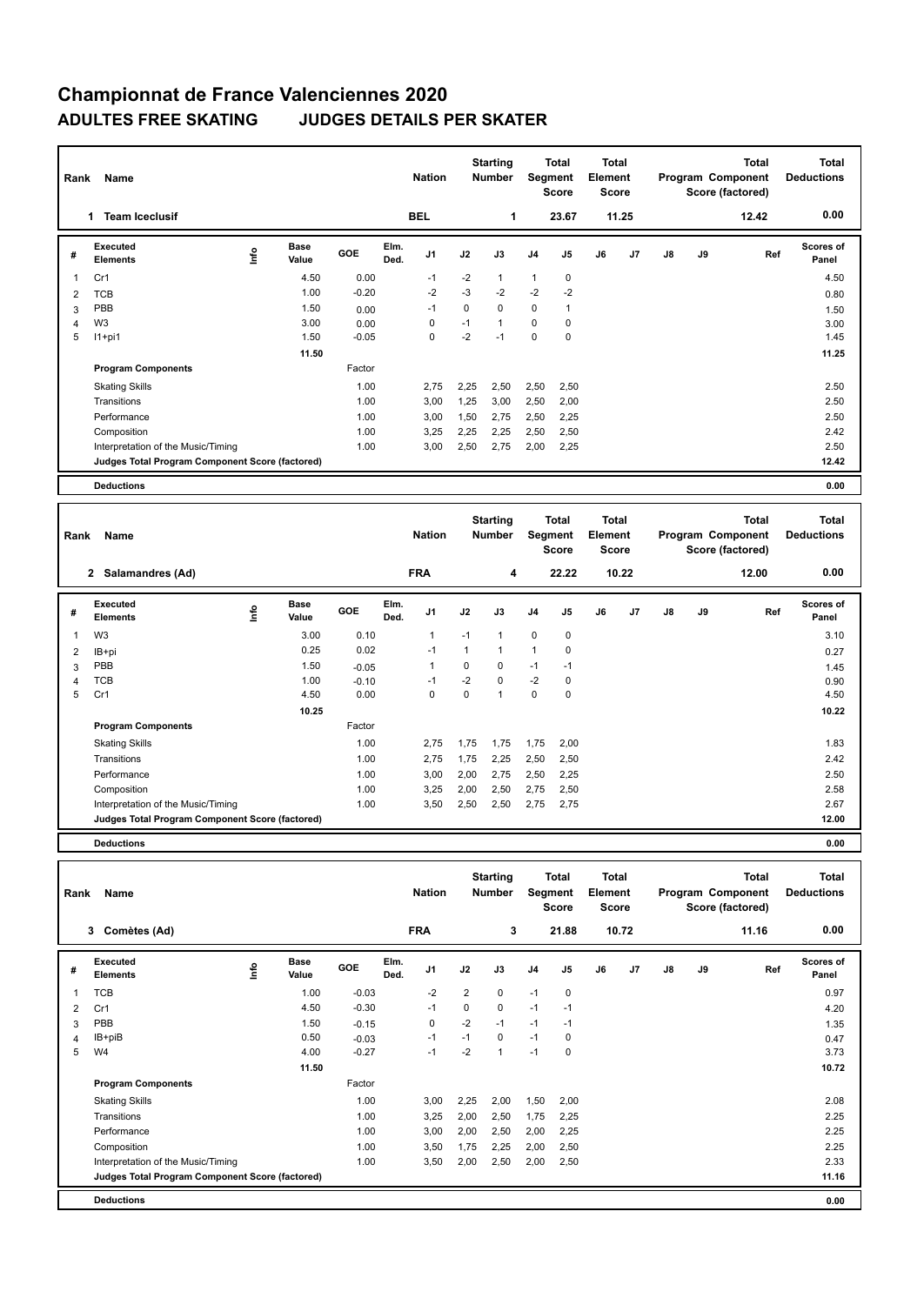## **Championnat de France Valenciennes 2020 ADULTES FREE SKATING JUDGES DETAILS PER SKATER**

| Name<br>Rank |                                                 |      |                      |         |              |            | <b>Starting</b><br><b>Nation</b><br><b>Number</b> |              | Total<br>Segment<br><b>Score</b> |                | <b>Total</b><br>Element<br>Score |                | Program Component |    | <b>Total</b><br>Score (factored) | <b>Total</b><br><b>Deductions</b> |
|--------------|-------------------------------------------------|------|----------------------|---------|--------------|------------|---------------------------------------------------|--------------|----------------------------------|----------------|----------------------------------|----------------|-------------------|----|----------------------------------|-----------------------------------|
|              | <b>Team Iceclusif</b><br>1                      |      |                      |         |              | <b>BEL</b> |                                                   | 1            |                                  | 23.67          |                                  | 11.25          |                   |    | 12.42                            | 0.00                              |
| #            | Executed<br><b>Elements</b>                     | ١nf٥ | <b>Base</b><br>Value | GOE     | Elm.<br>Ded. | J1         | J2                                                | J3           | J <sub>4</sub>                   | J <sub>5</sub> | J6                               | J <sub>7</sub> | J8                | J9 | Ref                              | Scores of<br>Panel                |
|              | Cr1                                             |      | 4.50                 | 0.00    |              | $-1$       | $-2$                                              | 1            | 1                                | 0              |                                  |                |                   |    |                                  | 4.50                              |
| 2            | <b>TCB</b>                                      |      | 1.00                 | $-0.20$ |              | $-2$       | $-3$                                              | $-2$         | $-2$                             | $-2$           |                                  |                |                   |    |                                  | 0.80                              |
| 3            | PBB                                             |      | 1.50                 | 0.00    |              | $-1$       | $\mathbf 0$                                       | $\mathbf 0$  | $\mathbf 0$                      | $\overline{1}$ |                                  |                |                   |    |                                  | 1.50                              |
| 4            | W <sub>3</sub>                                  |      | 3.00                 | 0.00    |              | 0          | $-1$                                              | $\mathbf{1}$ | $\mathbf 0$                      | $\mathbf 0$    |                                  |                |                   |    |                                  | 3.00                              |
| 5            | $11+pi1$                                        |      | 1.50                 | $-0.05$ |              | 0          | $-2$                                              | $-1$         | $\mathbf 0$                      | 0              |                                  |                |                   |    |                                  | 1.45                              |
|              |                                                 |      | 11.50                |         |              |            |                                                   |              |                                  |                |                                  |                |                   |    |                                  | 11.25                             |
|              | <b>Program Components</b>                       |      |                      | Factor  |              |            |                                                   |              |                                  |                |                                  |                |                   |    |                                  |                                   |
|              | <b>Skating Skills</b>                           |      |                      | 1.00    |              | 2,75       | 2,25                                              | 2,50         | 2,50                             | 2,50           |                                  |                |                   |    |                                  | 2.50                              |
|              | Transitions                                     |      |                      | 1.00    |              | 3,00       | 1,25                                              | 3,00         | 2,50                             | 2,00           |                                  |                |                   |    |                                  | 2.50                              |
|              | Performance                                     |      |                      | 1.00    |              | 3,00       | 1,50                                              | 2,75         | 2,50                             | 2,25           |                                  |                |                   |    |                                  | 2.50                              |
|              | Composition                                     |      |                      | 1.00    |              | 3,25       | 2,25                                              | 2,25         | 2,50                             | 2,50           |                                  |                |                   |    |                                  | 2.42                              |
|              | Interpretation of the Music/Timing              |      |                      | 1.00    |              | 3,00       | 2,50                                              | 2,75         | 2,00                             | 2,25           |                                  |                |                   |    |                                  | 2.50                              |
|              | Judges Total Program Component Score (factored) |      |                      |         |              |            |                                                   |              |                                  |                |                                  |                |                   |    |                                  | 12.42                             |
|              | <b>Deductions</b>                               |      |                      |         |              |            |                                                   |              |                                  |                |                                  |                |                   |    |                                  | 0.00                              |

| Rank | Name                                            |      | <b>Nation</b>        | <b>Starting</b><br><b>Number</b> |              | <b>Total</b><br>Segment<br><b>Score</b> |      | Total<br>Element<br><b>Score</b> |                | <b>Total</b><br>Program Component<br>Score (factored) |    |                | <b>Total</b><br><b>Deductions</b> |    |       |                    |
|------|-------------------------------------------------|------|----------------------|----------------------------------|--------------|-----------------------------------------|------|----------------------------------|----------------|-------------------------------------------------------|----|----------------|-----------------------------------|----|-------|--------------------|
|      | 2 Salamandres (Ad)                              |      |                      |                                  |              | <b>FRA</b>                              |      | 4                                |                | 22.22                                                 |    | 10.22          |                                   |    | 12.00 | 0.00               |
| #    | Executed<br><b>Elements</b>                     | lnfo | <b>Base</b><br>Value | GOE                              | Elm.<br>Ded. | J1                                      | J2   | J3                               | J <sub>4</sub> | J5                                                    | J6 | J <sub>7</sub> | $\mathsf{J}8$                     | J9 | Ref   | Scores of<br>Panel |
| 1    | W <sub>3</sub>                                  |      | 3.00                 | 0.10                             |              | $\mathbf{1}$                            | $-1$ |                                  | $\mathbf 0$    | 0                                                     |    |                |                                   |    |       | 3.10               |
| 2    | IB+pi                                           |      | 0.25                 | 0.02                             |              | $-1$                                    |      | $\overline{1}$                   | 1              | 0                                                     |    |                |                                   |    |       | 0.27               |
| 3    | PBB                                             |      | 1.50                 | $-0.05$                          |              | $\overline{1}$                          | 0    | 0                                | $-1$           | $-1$                                                  |    |                |                                   |    |       | 1.45               |
| 4    | <b>TCB</b>                                      |      | 1.00                 | $-0.10$                          |              | $-1$                                    | $-2$ | 0                                | $-2$           | 0                                                     |    |                |                                   |    |       | 0.90               |
| 5    | Cr1                                             |      | 4.50                 | 0.00                             |              | 0                                       | 0    | $\overline{1}$                   | 0              | 0                                                     |    |                |                                   |    |       | 4.50               |
|      |                                                 |      | 10.25                |                                  |              |                                         |      |                                  |                |                                                       |    |                |                                   |    |       | 10.22              |
|      | <b>Program Components</b>                       |      |                      | Factor                           |              |                                         |      |                                  |                |                                                       |    |                |                                   |    |       |                    |
|      | <b>Skating Skills</b>                           |      |                      | 1.00                             |              | 2,75                                    | 1,75 | 1,75                             | 1,75           | 2,00                                                  |    |                |                                   |    |       | 1.83               |
|      | Transitions                                     |      |                      | 1.00                             |              | 2,75                                    | 1,75 | 2,25                             | 2,50           | 2,50                                                  |    |                |                                   |    |       | 2.42               |
|      | Performance                                     |      |                      | 1.00                             |              | 3,00                                    | 2,00 | 2,75                             | 2,50           | 2,25                                                  |    |                |                                   |    |       | 2.50               |
|      | Composition                                     |      |                      | 1.00                             |              | 3,25                                    | 2,00 | 2,50                             | 2,75           | 2,50                                                  |    |                |                                   |    |       | 2.58               |
|      | Interpretation of the Music/Timing              |      |                      | 1.00                             |              | 3,50                                    | 2,50 | 2,50                             | 2,75           | 2,75                                                  |    |                |                                   |    |       | 2.67               |
|      | Judges Total Program Component Score (factored) |      |                      |                                  |              |                                         |      |                                  |                |                                                       |    |                |                                   |    |       | 12.00              |
|      | <b>Deductions</b>                               |      |                      |                                  |              |                                         |      |                                  |                |                                                       |    |                |                                   |    |       | 0.00               |

| Name<br>Rank |                                                 |      |                      |         |              | <b>Starting</b><br><b>Nation</b><br><b>Number</b> |      | Total<br>Segment<br><b>Score</b> |                | <b>Total</b><br>Element<br><b>Score</b> |    |       |    | <b>Total</b><br>Program Component<br>Score (factored) | <b>Total</b><br><b>Deductions</b> |                    |
|--------------|-------------------------------------------------|------|----------------------|---------|--------------|---------------------------------------------------|------|----------------------------------|----------------|-----------------------------------------|----|-------|----|-------------------------------------------------------|-----------------------------------|--------------------|
|              | Comètes (Ad)<br>3                               |      |                      |         |              | <b>FRA</b>                                        |      | 3                                |                | 21.88                                   |    | 10.72 |    |                                                       | 11.16                             | 0.00               |
| #            | <b>Executed</b><br><b>Elements</b>              | ١nfo | <b>Base</b><br>Value | GOE     | Elm.<br>Ded. | J1                                                | J2   | J3                               | J <sub>4</sub> | J5                                      | J6 | J7    | J8 | J9                                                    | Ref                               | Scores of<br>Panel |
| 1            | <b>TCB</b>                                      |      | 1.00                 | $-0.03$ |              | $-2$                                              | 2    | 0                                | $-1$           | 0                                       |    |       |    |                                                       |                                   | 0.97               |
| 2            | Cr1                                             |      | 4.50                 | $-0.30$ |              | $-1$                                              | 0    | 0                                | $-1$           | $-1$                                    |    |       |    |                                                       |                                   | 4.20               |
| 3            | PBB                                             |      | 1.50                 | $-0.15$ |              | $\mathbf 0$                                       | $-2$ | $-1$                             | $-1$           | $-1$                                    |    |       |    |                                                       |                                   | 1.35               |
| 4            | IB+piB                                          |      | 0.50                 | $-0.03$ |              | $-1$                                              | $-1$ | 0                                | $-1$           | 0                                       |    |       |    |                                                       |                                   | 0.47               |
| 5            | W <sub>4</sub>                                  |      | 4.00                 | $-0.27$ |              | $-1$                                              | $-2$ | 1                                | $-1$           | 0                                       |    |       |    |                                                       |                                   | 3.73               |
|              |                                                 |      | 11.50                |         |              |                                                   |      |                                  |                |                                         |    |       |    |                                                       |                                   | 10.72              |
|              | <b>Program Components</b>                       |      |                      | Factor  |              |                                                   |      |                                  |                |                                         |    |       |    |                                                       |                                   |                    |
|              | <b>Skating Skills</b>                           |      |                      | 1.00    |              | 3,00                                              | 2,25 | 2,00                             | 1,50           | 2,00                                    |    |       |    |                                                       |                                   | 2.08               |
|              | Transitions                                     |      |                      | 1.00    |              | 3,25                                              | 2,00 | 2,50                             | 1,75           | 2,25                                    |    |       |    |                                                       |                                   | 2.25               |
|              | Performance                                     |      |                      | 1.00    |              | 3,00                                              | 2,00 | 2,50                             | 2,00           | 2,25                                    |    |       |    |                                                       |                                   | 2.25               |
|              | Composition                                     |      |                      | 1.00    |              | 3,50                                              | 1,75 | 2,25                             | 2,00           | 2,50                                    |    |       |    |                                                       |                                   | 2.25               |
|              | Interpretation of the Music/Timing              |      |                      | 1.00    |              | 3,50                                              | 2,00 | 2,50                             | 2,00           | 2,50                                    |    |       |    |                                                       |                                   | 2.33               |
|              | Judges Total Program Component Score (factored) |      |                      |         |              |                                                   |      |                                  |                |                                         |    |       |    |                                                       |                                   | 11.16              |
|              | <b>Deductions</b>                               |      |                      |         |              |                                                   |      |                                  |                |                                         |    |       |    |                                                       |                                   | 0.00               |